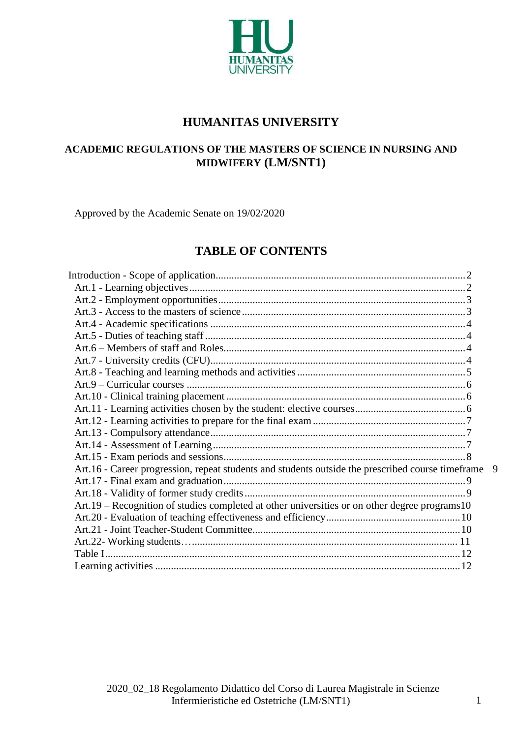

# **HUMANITAS UNIVERSITY**

# **ACADEMIC REGULATIONS OF THE MASTERS OF SCIENCE IN NURSING AND MIDWIFERY (LM/SNT1)**

Approved by the Academic Senate on 19/02/2020

# **TABLE OF CONTENTS**

| Art.16 - Career progression, repeat students and students outside the prescribed course timeframe | 9 |
|---------------------------------------------------------------------------------------------------|---|
|                                                                                                   |   |
|                                                                                                   |   |
| Art.19 – Recognition of studies completed at other universities or on other degree programs10     |   |
|                                                                                                   |   |
|                                                                                                   |   |
|                                                                                                   |   |
|                                                                                                   |   |
|                                                                                                   |   |
|                                                                                                   |   |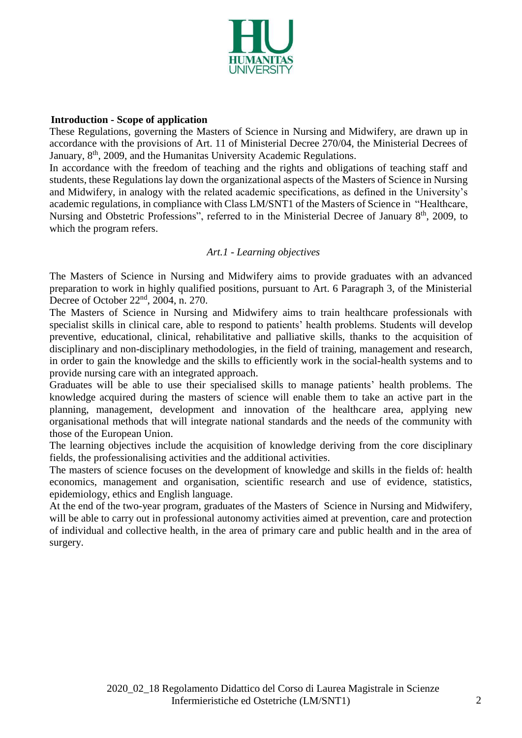

#### <span id="page-1-0"></span> **Introduction - Scope of application**

These Regulations, governing the Masters of Science in Nursing and Midwifery, are drawn up in accordance with the provisions of Art. 11 of Ministerial Decree 270/04, the Ministerial Decrees of January, 8<sup>th</sup>, 2009, and the Humanitas University Academic Regulations.

In accordance with the freedom of teaching and the rights and obligations of teaching staff and students, these Regulations lay down the organizational aspects of the Masters of Science in Nursing and Midwifery, in analogy with the related academic specifications, as defined in the University's academic regulations, in compliance with Class LM/SNT1 of the Masters of Science in "Healthcare, Nursing and Obstetric Professions", referred to in the Ministerial Decree of January 8<sup>th</sup>, 2009, to which the program refers.

#### *Art.1 - Learning objectives*

<span id="page-1-1"></span>The Masters of Science in Nursing and Midwifery aims to provide graduates with an advanced preparation to work in highly qualified positions, pursuant to Art. 6 Paragraph 3, of the Ministerial Decree of October 22<sup>nd</sup>, 2004, n. 270.

The Masters of Science in Nursing and Midwifery aims to train healthcare professionals with specialist skills in clinical care, able to respond to patients' health problems. Students will develop preventive, educational, clinical, rehabilitative and palliative skills, thanks to the acquisition of disciplinary and non-disciplinary methodologies, in the field of training, management and research, in order to gain the knowledge and the skills to efficiently work in the social-health systems and to provide nursing care with an integrated approach.

Graduates will be able to use their specialised skills to manage patients' health problems. The knowledge acquired during the masters of science will enable them to take an active part in the planning, management, development and innovation of the healthcare area, applying new organisational methods that will integrate national standards and the needs of the community with those of the European Union.

The learning objectives include the acquisition of knowledge deriving from the core disciplinary fields, the professionalising activities and the additional activities.

The masters of science focuses on the development of knowledge and skills in the fields of: health economics, management and organisation, scientific research and use of evidence, statistics, epidemiology, ethics and English language.

At the end of the two-year program, graduates of the Masters of Science in Nursing and Midwifery, will be able to carry out in professional autonomy activities aimed at prevention, care and protection of individual and collective health, in the area of primary care and public health and in the area of surgery.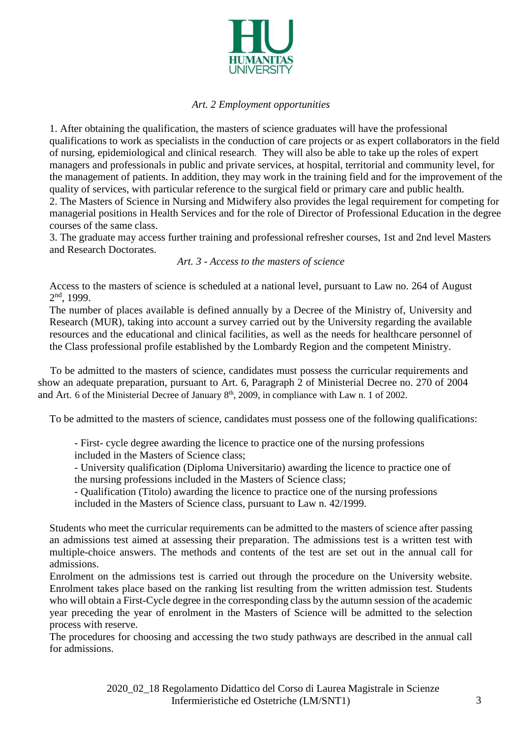

# *Art. 2 Employment opportunities*

<span id="page-2-0"></span>1. After obtaining the qualification, the masters of science graduates will have the professional qualifications to work as specialists in the conduction of care projects or as expert collaborators in the field of nursing, epidemiological and clinical research. They will also be able to take up the roles of expert managers and professionals in public and private services, at hospital, territorial and community level, for the management of patients. In addition, they may work in the training field and for the improvement of the quality of services, with particular reference to the surgical field or primary care and public health.

2. The Masters of Science in Nursing and Midwifery also provides the legal requirement for competing for managerial positions in Health Services and for the role of Director of Professional Education in the degree courses of the same class.

3. The graduate may access further training and professional refresher courses, 1st and 2nd level Masters and Research Doctorates.

#### *Art. 3 - Access to the masters of science*

<span id="page-2-1"></span>Access to the masters of science is scheduled at a national level, pursuant to Law no. 264 of August 2 nd, 1999.

The number of places available is defined annually by a Decree of the Ministry of, University and Research (MUR), taking into account a survey carried out by the University regarding the available resources and the educational and clinical facilities, as well as the needs for healthcare personnel of the Class professional profile established by the Lombardy Region and the competent Ministry.

 To be admitted to the masters of science, candidates must possess the curricular requirements and show an adequate preparation, pursuant to Art. 6, Paragraph 2 of Ministerial Decree no. 270 of 2004 and Art. 6 of the Ministerial Decree of January  $8<sup>th</sup>$ , 2009, in compliance with Law n. 1 of 2002.

To be admitted to the masters of science, candidates must possess one of the following qualifications:

- First- cycle degree awarding the licence to practice one of the nursing professions

included in the Masters of Science class;

- University qualification (Diploma Universitario) awarding the licence to practice one of the nursing professions included in the Masters of Science class;

- Qualification (Titolo) awarding the licence to practice one of the nursing professions included in the Masters of Science class, pursuant to Law n. 42/1999.

Students who meet the curricular requirements can be admitted to the masters of science after passing an admissions test aimed at assessing their preparation. The admissions test is a written test with multiple-choice answers. The methods and contents of the test are set out in the annual call for admissions.

Enrolment on the admissions test is carried out through the procedure on the University website. Enrolment takes place based on the ranking list resulting from the written admission test. Students who will obtain a First-Cycle degree in the corresponding class by the autumn session of the academic year preceding the year of enrolment in the Masters of Science will be admitted to the selection process with reserve.

The procedures for choosing and accessing the two study pathways are described in the annual call for admissions.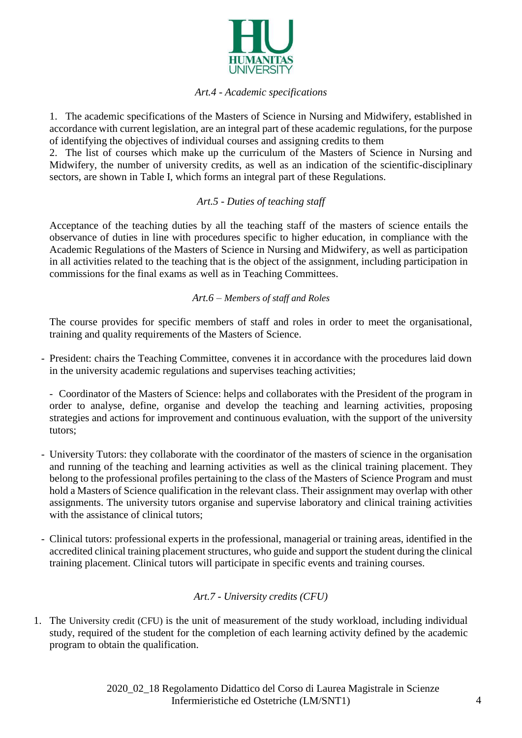

### *Art.4 - Academic specifications*

<span id="page-3-0"></span>1. The academic specifications of the Masters of Science in Nursing and Midwifery, established in accordance with current legislation, are an integral part of these academic regulations, for the purpose of identifying the objectives of individual courses and assigning credits to them

2. The list of courses which make up the curriculum of the Masters of Science in Nursing and Midwifery, the number of university credits, as well as an indication of the scientific-disciplinary sectors, are shown in Table I, which forms an integral part of these Regulations.

# *Art.5 - Duties of teaching staff*

<span id="page-3-1"></span>Acceptance of the teaching duties by all the teaching staff of the masters of science entails the observance of duties in line with procedures specific to higher education, in compliance with the Academic Regulations of the Masters of Science in Nursing and Midwifery, as well as participation in all activities related to the teaching that is the object of the assignment, including participation in commissions for the final exams as well as in Teaching Committees.

# *Art.6 – Members of staff and Roles*

<span id="page-3-2"></span>The course provides for specific members of staff and roles in order to meet the organisational, training and quality requirements of the Masters of Science.

- President: chairs the Teaching Committee, convenes it in accordance with the procedures laid down in the university academic regulations and supervises teaching activities;

- Coordinator of the Masters of Science: helps and collaborates with the President of the program in order to analyse, define, organise and develop the teaching and learning activities, proposing strategies and actions for improvement and continuous evaluation, with the support of the university tutors;

- University Tutors: they collaborate with the coordinator of the masters of science in the organisation and running of the teaching and learning activities as well as the clinical training placement. They belong to the professional profiles pertaining to the class of the Masters of Science Program and must hold a Masters of Science qualification in the relevant class. Their assignment may overlap with other assignments. The university tutors organise and supervise laboratory and clinical training activities with the assistance of clinical tutors;
- Clinical tutors: professional experts in the professional, managerial or training areas, identified in the accredited clinical training placement structures, who guide and support the student during the clinical training placement. Clinical tutors will participate in specific events and training courses.

# *Art.7 - University credits (CFU)*

<span id="page-3-3"></span>1. The University credit (CFU) is the unit of measurement of the study workload, including individual study, required of the student for the completion of each learning activity defined by the academic program to obtain the qualification.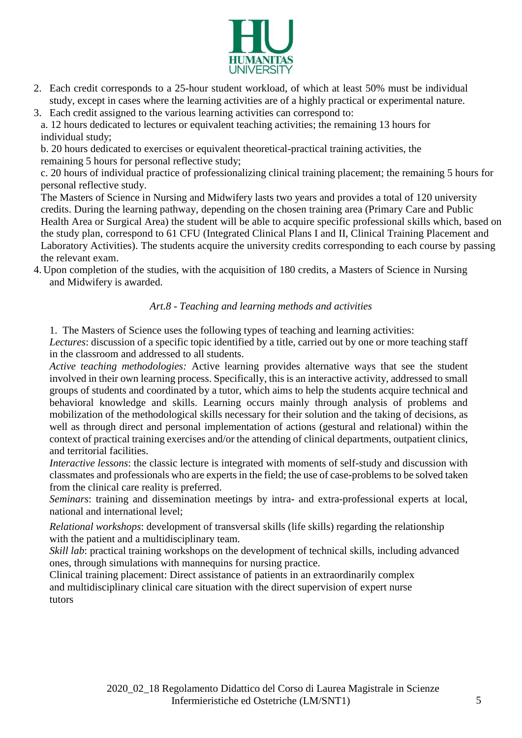

- 2. Each credit corresponds to a 25-hour student workload, of which at least 50% must be individual study, except in cases where the learning activities are of a highly practical or experimental nature.
- 3. Each credit assigned to the various learning activities can correspond to:

a. 12 hours dedicated to lectures or equivalent teaching activities; the remaining 13 hours for individual study;

b. 20 hours dedicated to exercises or equivalent theoretical-practical training activities, the remaining 5 hours for personal reflective study;

c. 20 hours of individual practice of professionalizing clinical training placement; the remaining 5 hours for personal reflective study.

The Masters of Science in Nursing and Midwifery lasts two years and provides a total of 120 university credits. During the learning pathway, depending on the chosen training area (Primary Care and Public Health Area or Surgical Area) the student will be able to acquire specific professional skills which, based on the study plan, correspond to 61 CFU (Integrated Clinical Plans I and II, Clinical Training Placement and Laboratory Activities). The students acquire the university credits corresponding to each course by passing the relevant exam.

<span id="page-4-0"></span>4. Upon completion of the studies, with the acquisition of 180 credits, a Masters of Science in Nursing and Midwifery is awarded.

# *Art.8 - Teaching and learning methods and activities*

1. The Masters of Science uses the following types of teaching and learning activities:

*Lectures*: discussion of a specific topic identified by a title, carried out by one or more teaching staff in the classroom and addressed to all students.

*Active teaching methodologies:* Active learning provides alternative ways that see the student involved in their own learning process. Specifically, this is an interactive activity, addressed to small groups of students and coordinated by a tutor, which aims to help the students acquire technical and behavioral knowledge and skills. Learning occurs mainly through analysis of problems and mobilization of the methodological skills necessary for their solution and the taking of decisions, as well as through direct and personal implementation of actions (gestural and relational) within the context of practical training exercises and/or the attending of clinical departments, outpatient clinics, and territorial facilities.

*Interactive lessons*: the classic lecture is integrated with moments of self-study and discussion with classmates and professionals who are experts in the field; the use of case-problems to be solved taken from the clinical care reality is preferred.

*Seminars*: training and dissemination meetings by intra- and extra-professional experts at local, national and international level;

*Relational workshops*: development of transversal skills (life skills) regarding the relationship with the patient and a multidisciplinary team.

*Skill lab*: practical training workshops on the development of technical skills, including advanced ones, through simulations with mannequins for nursing practice.

Clinical training placement: Direct assistance of patients in an extraordinarily complex and multidisciplinary clinical care situation with the direct supervision of expert nurse tutors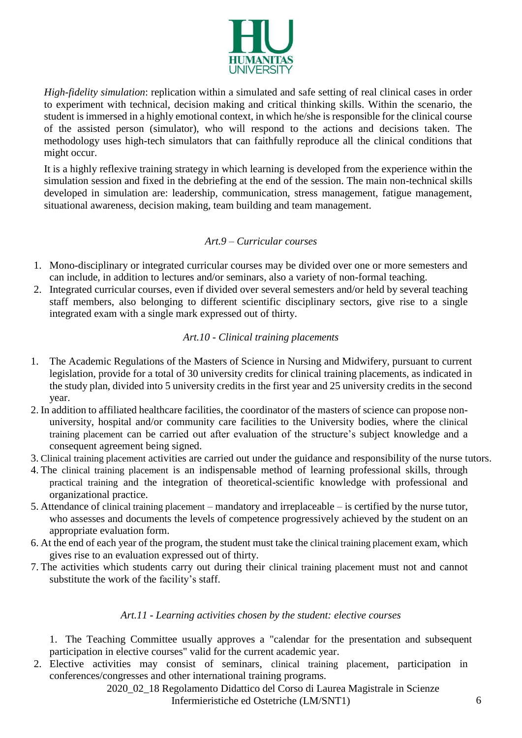

*High-fidelity simulation*: replication within a simulated and safe setting of real clinical cases in order to experiment with technical, decision making and critical thinking skills. Within the scenario, the student is immersed in a highly emotional context, in which he/she is responsible for the clinical course of the assisted person (simulator), who will respond to the actions and decisions taken. The methodology uses high-tech simulators that can faithfully reproduce all the clinical conditions that might occur.

It is a highly reflexive training strategy in which learning is developed from the experience within the simulation session and fixed in the debriefing at the end of the session. The main non-technical skills developed in simulation are: leadership, communication, stress management, fatigue management, situational awareness, decision making, team building and team management.

#### *Art.9 – Curricular courses*

- <span id="page-5-0"></span>1. Mono-disciplinary or integrated curricular courses may be divided over one or more semesters and can include, in addition to lectures and/or seminars, also a variety of non-formal teaching.
- 2. Integrated curricular courses, even if divided over several semesters and/or held by several teaching staff members, also belonging to different scientific disciplinary sectors, give rise to a single integrated exam with a single mark expressed out of thirty.

#### *Art.10 - Clinical training placements*

- <span id="page-5-1"></span>1. The Academic Regulations of the Masters of Science in Nursing and Midwifery, pursuant to current legislation, provide for a total of 30 university credits for clinical training placements, as indicated in the study plan, divided into 5 university credits in the first year and 25 university credits in the second year.
- 2. In addition to affiliated healthcare facilities, the coordinator of the masters of science can propose nonuniversity, hospital and/or community care facilities to the University bodies, where the clinical training placement can be carried out after evaluation of the structure's subject knowledge and a consequent agreement being signed.
- 3. Clinical training placement activities are carried out under the guidance and responsibility of the nurse tutors.
- 4. The clinical training placement is an indispensable method of learning professional skills, through practical training and the integration of theoretical-scientific knowledge with professional and organizational practice.
- 5. Attendance of clinical training placement mandatory and irreplaceable is certified by the nurse tutor, who assesses and documents the levels of competence progressively achieved by the student on an appropriate evaluation form.
- 6. At the end of each year of the program, the student must take the clinical training placement exam, which gives rise to an evaluation expressed out of thirty.
- 7. The activities which students carry out during their clinical training placement must not and cannot substitute the work of the facility's staff.

#### *Art.11 - Learning activities chosen by the student: elective courses*

<span id="page-5-2"></span>1. The Teaching Committee usually approves a "calendar for the presentation and subsequent participation in elective courses" valid for the current academic year.

2. Elective activities may consist of seminars, clinical training placement, participation in conferences/congresses and other international training programs.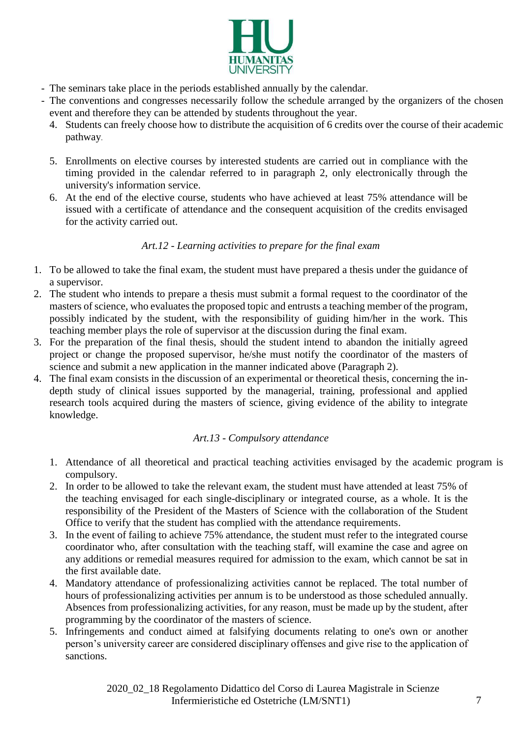

- The seminars take place in the periods established annually by the calendar.
- The conventions and congresses necessarily follow the schedule arranged by the organizers of the chosen event and therefore they can be attended by students throughout the year.
	- 4. Students can freely choose how to distribute the acquisition of 6 credits over the course of their academic pathway.
	- 5. Enrollments on elective courses by interested students are carried out in compliance with the timing provided in the calendar referred to in paragraph 2, only electronically through the university's information service.
	- 6. At the end of the elective course, students who have achieved at least 75% attendance will be issued with a certificate of attendance and the consequent acquisition of the credits envisaged for the activity carried out.

# *Art.12 - Learning activities to prepare for the final exam*

- <span id="page-6-0"></span>1. To be allowed to take the final exam, the student must have prepared a thesis under the guidance of a supervisor.
- 2. The student who intends to prepare a thesis must submit a formal request to the coordinator of the masters of science, who evaluates the proposed topic and entrusts a teaching member of the program, possibly indicated by the student, with the responsibility of guiding him/her in the work. This teaching member plays the role of supervisor at the discussion during the final exam.
- 3. For the preparation of the final thesis, should the student intend to abandon the initially agreed project or change the proposed supervisor, he/she must notify the coordinator of the masters of science and submit a new application in the manner indicated above (Paragraph 2).
- 4. The final exam consists in the discussion of an experimental or theoretical thesis, concerning the indepth study of clinical issues supported by the managerial, training, professional and applied research tools acquired during the masters of science, giving evidence of the ability to integrate knowledge.

# *Art.13 - Compulsory attendance*

- <span id="page-6-1"></span>1. Attendance of all theoretical and practical teaching activities envisaged by the academic program is compulsory.
- 2. In order to be allowed to take the relevant exam, the student must have attended at least 75% of the teaching envisaged for each single-disciplinary or integrated course, as a whole. It is the responsibility of the President of the Masters of Science with the collaboration of the Student Office to verify that the student has complied with the attendance requirements.
- 3. In the event of failing to achieve 75% attendance, the student must refer to the integrated course coordinator who, after consultation with the teaching staff, will examine the case and agree on any additions or remedial measures required for admission to the exam, which cannot be sat in the first available date.
- 4. Mandatory attendance of professionalizing activities cannot be replaced. The total number of hours of professionalizing activities per annum is to be understood as those scheduled annually. Absences from professionalizing activities, for any reason, must be made up by the student, after programming by the coordinator of the masters of science.
- <span id="page-6-2"></span>5. Infringements and conduct aimed at falsifying documents relating to one's own or another person's university career are considered disciplinary offenses and give rise to the application of sanctions.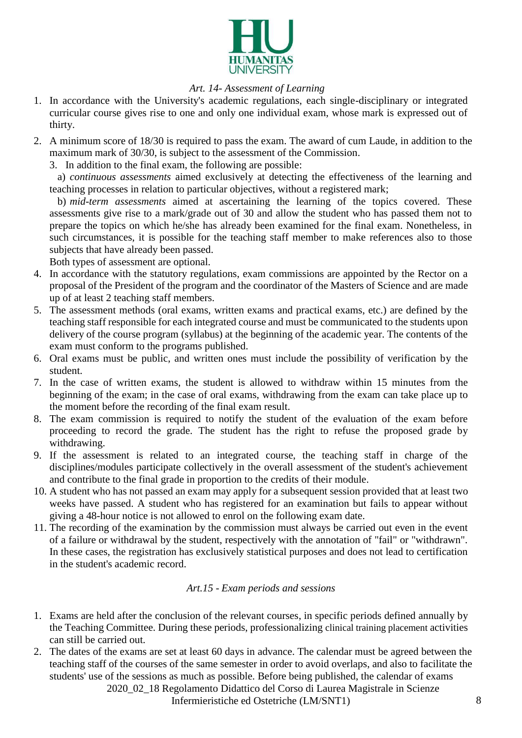

# *Art. 14- Assessment of Learning*

- 1. In accordance with the University's academic regulations, each single-disciplinary or integrated curricular course gives rise to one and only one individual exam, whose mark is expressed out of thirty.
- 2. A minimum score of 18/30 is required to pass the exam. The award of cum Laude, in addition to the maximum mark of 30/30, is subject to the assessment of the Commission.
	- 3. In addition to the final exam, the following are possible:

a) *continuous assessments* aimed exclusively at detecting the effectiveness of the learning and teaching processes in relation to particular objectives, without a registered mark;

b) *mid-term assessments* aimed at ascertaining the learning of the topics covered. These assessments give rise to a mark/grade out of 30 and allow the student who has passed them not to prepare the topics on which he/she has already been examined for the final exam. Nonetheless, in such circumstances, it is possible for the teaching staff member to make references also to those subjects that have already been passed.

Both types of assessment are optional.

- 4. In accordance with the statutory regulations, exam commissions are appointed by the Rector on a proposal of the President of the program and the coordinator of the Masters of Science and are made up of at least 2 teaching staff members.
- 5. The assessment methods (oral exams, written exams and practical exams, etc.) are defined by the teaching staff responsible for each integrated course and must be communicated to the students upon delivery of the course program (syllabus) at the beginning of the academic year. The contents of the exam must conform to the programs published.
- 6. Oral exams must be public, and written ones must include the possibility of verification by the student.
- 7. In the case of written exams, the student is allowed to withdraw within 15 minutes from the beginning of the exam; in the case of oral exams, withdrawing from the exam can take place up to the moment before the recording of the final exam result.
- 8. The exam commission is required to notify the student of the evaluation of the exam before proceeding to record the grade. The student has the right to refuse the proposed grade by withdrawing.
- 9. If the assessment is related to an integrated course, the teaching staff in charge of the disciplines/modules participate collectively in the overall assessment of the student's achievement and contribute to the final grade in proportion to the credits of their module.
- 10. A student who has not passed an exam may apply for a subsequent session provided that at least two weeks have passed. A student who has registered for an examination but fails to appear without giving a 48-hour notice is not allowed to enrol on the following exam date.
- 11. The recording of the examination by the commission must always be carried out even in the event of a failure or withdrawal by the student, respectively with the annotation of "fail" or "withdrawn". In these cases, the registration has exclusively statistical purposes and does not lead to certification in the student's academic record.

# *Art.15 - Exam periods and sessions*

- <span id="page-7-0"></span>1. Exams are held after the conclusion of the relevant courses, in specific periods defined annually by the Teaching Committee. During these periods, professionalizing clinical training placement activities can still be carried out.
- 2. The dates of the exams are set at least 60 days in advance. The calendar must be agreed between the teaching staff of the courses of the same semester in order to avoid overlaps, and also to facilitate the students' use of the sessions as much as possible. Before being published, the calendar of exams

2020\_02\_18 Regolamento Didattico del Corso di Laurea Magistrale in Scienze

Infermieristiche ed Ostetriche (LM/SNT1) 8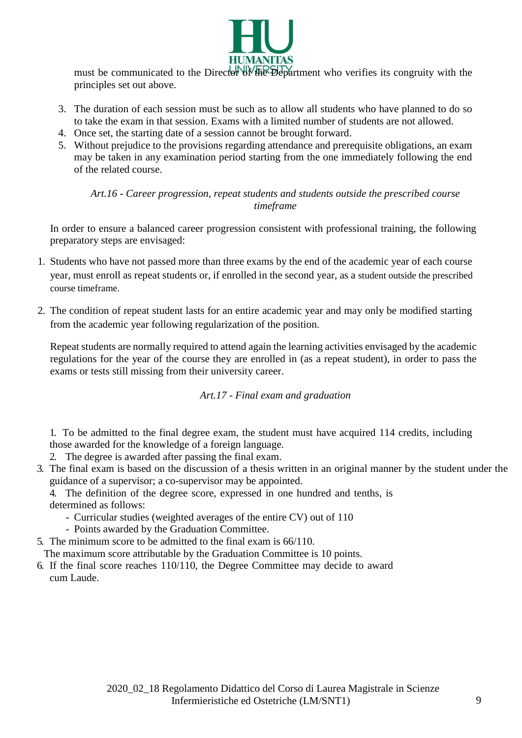

must be communicated to the Director of the Department who verifies its congruity with the principles set out above.

- 3. The duration of each session must be such as to allow all students who have planned to do so to take the exam in that session. Exams with a limited number of students are not allowed.
- 4. Once set, the starting date of a session cannot be brought forward.
- 5. Without prejudice to the provisions regarding attendance and prerequisite obligations, an exam may be taken in any examination period starting from the one immediately following the end of the related course.

*Art.16 - Career progression, repeat students and students outside the prescribed course timeframe*

<span id="page-8-0"></span>In order to ensure a balanced career progression consistent with professional training, the following preparatory steps are envisaged:

- 1. Students who have not passed more than three exams by the end of the academic year of each course year, must enroll as repeat students or, if enrolled in the second year, as a student outside the prescribed course timeframe.
- 2. The condition of repeat student lasts for an entire academic year and may only be modified starting from the academic year following regularization of the position.

Repeat students are normally required to attend again the learning activities envisaged by the academic regulations for the year of the course they are enrolled in (as a repeat student), in order to pass the exams or tests still missing from their university career.

*Art.17 - Final exam and graduation*

<span id="page-8-1"></span>1. To be admitted to the final degree exam, the student must have acquired 114 credits, including those awarded for the knowledge of a foreign language.

2. The degree is awarded after passing the final exam.

3. The final exam is based on the discussion of a thesis written in an original manner by the student under the guidance of a supervisor; a co-supervisor may be appointed.

4. The definition of the degree score, expressed in one hundred and tenths, is

determined as follows:

- Curricular studies (weighted averages of the entire CV) out of 110
- Points awarded by the Graduation Committee.
- 5. The minimum score to be admitted to the final exam is 66/110.

The maximum score attributable by the Graduation Committee is 10 points.

<span id="page-8-2"></span>6. If the final score reaches 110/110, the Degree Committee may decide to award cum Laude.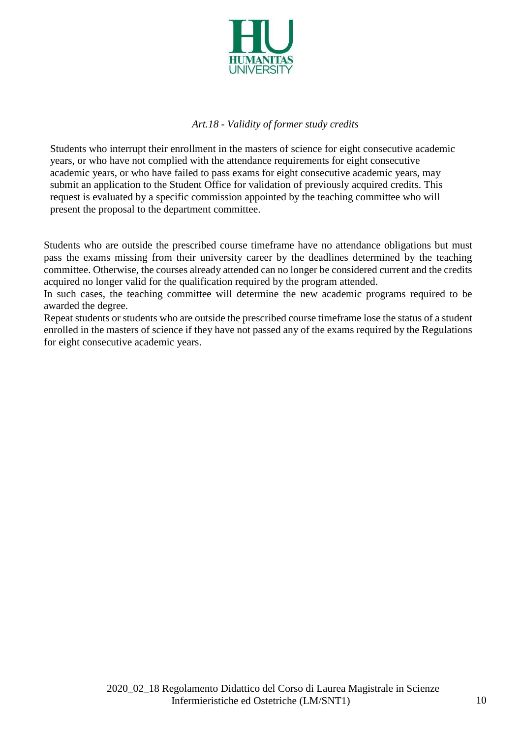

# *Art.18 - Validity of former study credits*

Students who interrupt their enrollment in the masters of science for eight consecutive academic years, or who have not complied with the attendance requirements for eight consecutive academic years, or who have failed to pass exams for eight consecutive academic years, may submit an application to the Student Office for validation of previously acquired credits. This request is evaluated by a specific commission appointed by the teaching committee who will present the proposal to the department committee.

Students who are outside the prescribed course timeframe have no attendance obligations but must pass the exams missing from their university career by the deadlines determined by the teaching committee. Otherwise, the courses already attended can no longer be considered current and the credits acquired no longer valid for the qualification required by the program attended.

In such cases, the teaching committee will determine the new academic programs required to be awarded the degree.

Repeat students or students who are outside the prescribed course timeframe lose the status of a student enrolled in the masters of science if they have not passed any of the exams required by the Regulations for eight consecutive academic years.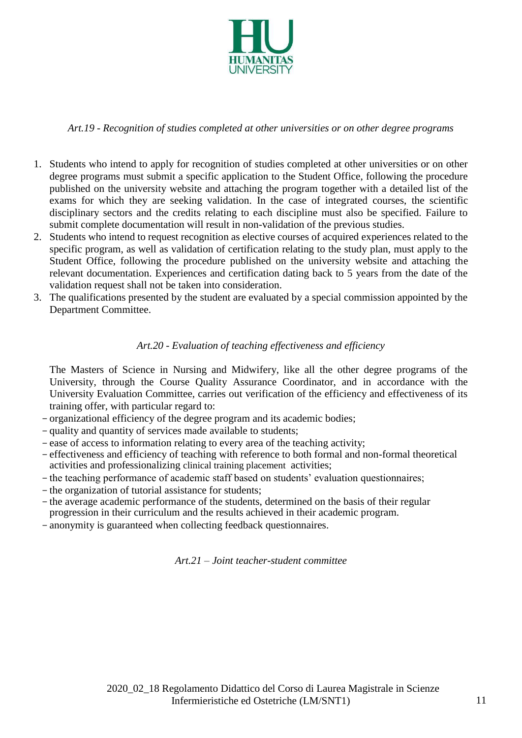

*Art.19 - Recognition of studies completed at other universities or on other degree programs*

- <span id="page-10-0"></span>1. Students who intend to apply for recognition of studies completed at other universities or on other degree programs must submit a specific application to the Student Office, following the procedure published on the university website and attaching the program together with a detailed list of the exams for which they are seeking validation. In the case of integrated courses, the scientific disciplinary sectors and the credits relating to each discipline must also be specified. Failure to submit complete documentation will result in non-validation of the previous studies.
- 2. Students who intend to request recognition as elective courses of acquired experiences related to the specific program, as well as validation of certification relating to the study plan, must apply to the Student Office, following the procedure published on the university website and attaching the relevant documentation. Experiences and certification dating back to 5 years from the date of the validation request shall not be taken into consideration.
- 3. The qualifications presented by the student are evaluated by a special commission appointed by the Department Committee.

# *Art.20 - Evaluation of teaching effectiveness and efficiency*

<span id="page-10-1"></span>The Masters of Science in Nursing and Midwifery, like all the other degree programs of the University, through the Course Quality Assurance Coordinator, and in accordance with the University Evaluation Committee, carries out verification of the efficiency and effectiveness of its training offer, with particular regard to:

- organizational efficiency of the degree program and its academic bodies;
- quality and quantity of services made available to students;
- ease of access to information relating to every area of the teaching activity;
- effectiveness and efficiency of teaching with reference to both formal and non-formal theoretical activities and professionalizing clinical training placement activities;
- the teaching performance of academic staff based on students' evaluation questionnaires;
- the organization of tutorial assistance for students;
- the average academic performance of the students, determined on the basis of their regular progression in their curriculum and the results achieved in their academic program.
- <span id="page-10-2"></span>- anonymity is guaranteed when collecting feedback questionnaires.

*Art.21 – Joint teacher-student committee*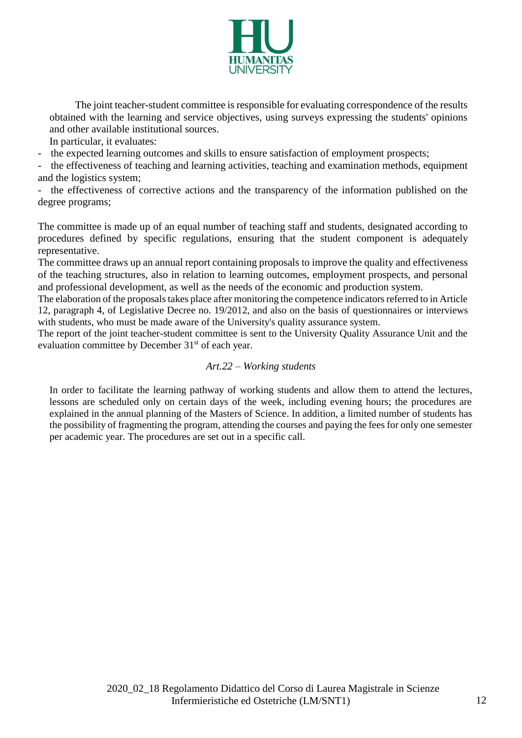

 The joint teacher-student committee is responsible for evaluating correspondence of the results obtained with the learning and service objectives, using surveys expressing the students' opinions and other available institutional sources.

In particular, it evaluates:

- the expected learning outcomes and skills to ensure satisfaction of employment prospects;

- the effectiveness of teaching and learning activities, teaching and examination methods, equipment and the logistics system;

- the effectiveness of corrective actions and the transparency of the information published on the degree programs;

The committee is made up of an equal number of teaching staff and students, designated according to procedures defined by specific regulations, ensuring that the student component is adequately representative.

The committee draws up an annual report containing proposals to improve the quality and effectiveness of the teaching structures, also in relation to learning outcomes, employment prospects, and personal and professional development, as well as the needs of the economic and production system.

The elaboration of the proposals takes place after monitoring the competence indicators referred to in Article 12, paragraph 4, of Legislative Decree no. 19/2012, and also on the basis of questionnaires or interviews with students, who must be made aware of the University's quality assurance system.

The report of the joint teacher-student committee is sent to the University Quality Assurance Unit and the evaluation committee by December 31<sup>st</sup> of each year.

#### *Art.22 – Working students*

In order to facilitate the learning pathway of working students and allow them to attend the lectures, lessons are scheduled only on certain days of the week, including evening hours; the procedures are explained in the annual planning of the Masters of Science. In addition, a limited number of students has the possibility of fragmenting the program, attending the courses and paying the feesfor only one semester per academic year. The procedures are set out in a specific call.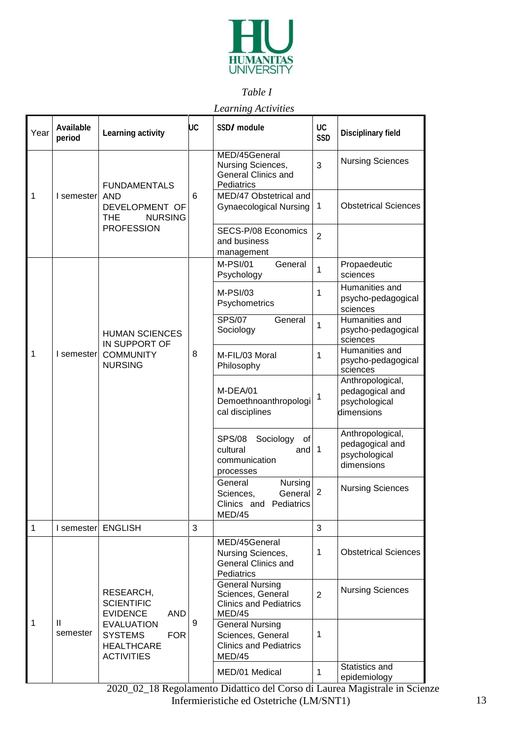

# <span id="page-12-1"></span>*Table I*

# *Learning Activities*

<span id="page-12-0"></span>

| Year         | <b>Available</b><br>period | <b>Learning activity</b>                                                                                                                                       | UC | SSD/ module                                                                            | <b>UC</b><br><b>SSD</b> | <b>Disciplinary field</b>                                          |
|--------------|----------------------------|----------------------------------------------------------------------------------------------------------------------------------------------------------------|----|----------------------------------------------------------------------------------------|-------------------------|--------------------------------------------------------------------|
|              |                            | <b>FUNDAMENTALS</b>                                                                                                                                            |    | MED/45General<br>Nursing Sciences,<br><b>General Clinics and</b><br>Pediatrics         | 3                       | <b>Nursing Sciences</b>                                            |
| 1            | I semester                 | <b>AND</b><br>DEVELOPMENT OF<br><b>NURSING</b><br><b>THE</b>                                                                                                   | 6  | MED/47 Obstetrical and<br><b>Gynaecological Nursing</b>                                | $\mathbf 1$             | <b>Obstetrical Sciences</b>                                        |
|              |                            | <b>PROFESSION</b>                                                                                                                                              |    | SECS-P/08 Economics<br>and business<br>management                                      | $\overline{2}$          |                                                                    |
|              |                            |                                                                                                                                                                |    | M-PSI/01<br>General<br>Psychology                                                      | 1                       | Propaedeutic<br>sciences                                           |
|              |                            |                                                                                                                                                                |    | $M-PSI/03$<br>Psychometrics                                                            | 1                       | Humanities and<br>psycho-pedagogical<br>sciences                   |
|              |                            | <b>HUMAN SCIENCES</b><br>IN SUPPORT OF<br><b>COMMUNITY</b><br><b>NURSING</b>                                                                                   |    | <b>SPS/07</b><br>General<br>Sociology                                                  | 1                       | Humanities and<br>psycho-pedagogical<br>sciences                   |
| 1            | I semester                 |                                                                                                                                                                | 8  | M-FIL/03 Moral<br>Philosophy                                                           | 1                       | Humanities and<br>psycho-pedagogical<br>sciences                   |
|              |                            |                                                                                                                                                                |    | M-DEA/01<br>Demoethnoanthropologi<br>cal disciplines                                   | $\mathbf 1$             | Anthropological,<br>pedagogical and<br>psychological<br>dimensions |
|              |                            |                                                                                                                                                                |    | <b>SPS/08</b><br>Sociology<br>of<br>and 1<br>cultural<br>communication<br>processes    |                         | Anthropological,<br>pedagogical and<br>psychological<br>dimensions |
|              |                            |                                                                                                                                                                |    | General<br>Nursing<br>General<br>Sciences,<br>Clinics and Pediatrics<br>MED/45         | $\overline{2}$          | <b>Nursing Sciences</b>                                            |
| $\mathbf{1}$ | I semester                 | <b>ENGLISH</b>                                                                                                                                                 | 3  |                                                                                        | 3                       |                                                                    |
|              |                            |                                                                                                                                                                |    | MED/45General<br>Nursing Sciences,<br><b>General Clinics and</b><br>Pediatrics         | $\mathbf{1}$            | <b>Obstetrical Sciences</b>                                        |
| 1            | Ш<br>semester              | RESEARCH,<br><b>SCIENTIFIC</b><br><b>EVIDENCE</b><br><b>AND</b><br><b>EVALUATION</b><br><b>SYSTEMS</b><br><b>FOR</b><br><b>HEALTHCARE</b><br><b>ACTIVITIES</b> | 9  | <b>General Nursing</b><br>Sciences, General<br><b>Clinics and Pediatrics</b><br>MED/45 | $\overline{2}$          | <b>Nursing Sciences</b>                                            |
|              |                            |                                                                                                                                                                |    | <b>General Nursing</b><br>Sciences, General<br><b>Clinics and Pediatrics</b><br>MED/45 | 1                       |                                                                    |
|              |                            |                                                                                                                                                                |    | MED/01 Medical                                                                         | 1                       | Statistics and<br>epidemiology                                     |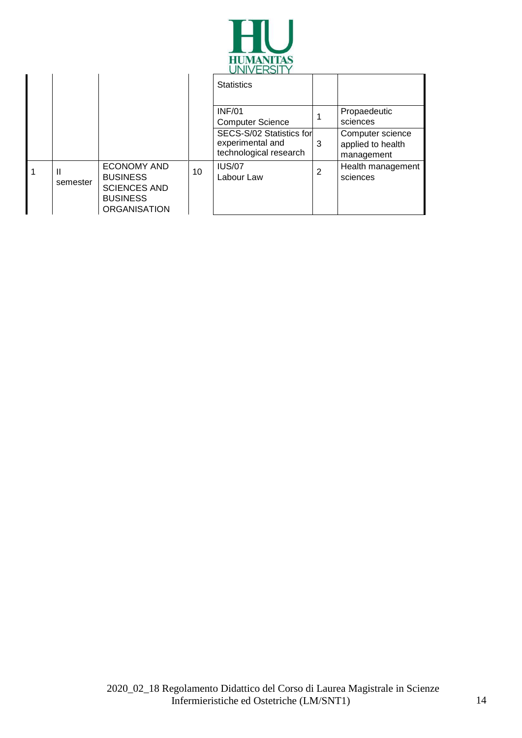

|               |                                                                                                        |    | UNVENJILI                                                              |                |                                                     |
|---------------|--------------------------------------------------------------------------------------------------------|----|------------------------------------------------------------------------|----------------|-----------------------------------------------------|
|               |                                                                                                        |    | <b>Statistics</b>                                                      |                |                                                     |
|               |                                                                                                        |    | <b>INF/01</b><br><b>Computer Science</b>                               |                | Propaedeutic<br>sciences                            |
|               |                                                                                                        |    | SECS-S/02 Statistics for<br>experimental and<br>technological research | 3              | Computer science<br>applied to health<br>management |
| Ш<br>semester | <b>ECONOMY AND</b><br><b>BUSINESS</b><br><b>SCIENCES AND</b><br><b>BUSINESS</b><br><b>ORGANISATION</b> | 10 | <b>IUS/07</b><br>Labour Law                                            | $\overline{2}$ | Health management<br>sciences                       |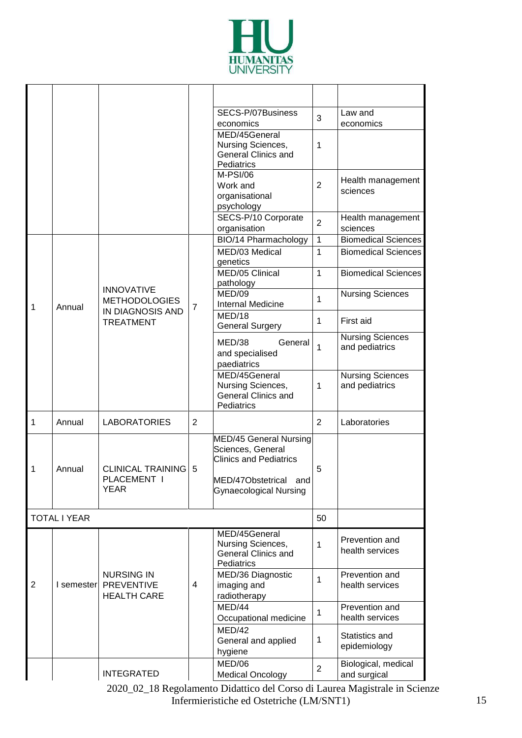

|                |                     |                                                              |                | SECS-P/07Business<br>economics                                                                                                            | 3              | Law and<br>economics                      |
|----------------|---------------------|--------------------------------------------------------------|----------------|-------------------------------------------------------------------------------------------------------------------------------------------|----------------|-------------------------------------------|
|                |                     |                                                              |                | MED/45General<br>Nursing Sciences,<br><b>General Clinics and</b><br>Pediatrics                                                            | 1              |                                           |
|                |                     |                                                              |                | M-PSI/06<br>Work and<br>organisational<br>psychology                                                                                      | $\overline{2}$ | Health management<br>sciences             |
|                |                     |                                                              |                | SECS-P/10 Corporate<br>organisation                                                                                                       | $\overline{2}$ | Health management<br>sciences             |
|                |                     |                                                              |                | BIO/14 Pharmachology                                                                                                                      | $\mathbf{1}$   | <b>Biomedical Sciences</b>                |
|                |                     |                                                              |                | MED/03 Medical<br>genetics                                                                                                                | $\mathbf{1}$   | <b>Biomedical Sciences</b>                |
|                |                     |                                                              |                | MED/05 Clinical<br>pathology                                                                                                              | $\mathbf{1}$   | <b>Biomedical Sciences</b>                |
| 1              | Annual              | <b>INNOVATIVE</b><br><b>METHODOLOGIES</b>                    | $\overline{7}$ | MED/09<br><b>Internal Medicine</b>                                                                                                        | 1              | <b>Nursing Sciences</b>                   |
|                |                     | IN DIAGNOSIS AND<br><b>TREATMENT</b>                         |                | MED/18<br><b>General Surgery</b>                                                                                                          | $\mathbf{1}$   | First aid                                 |
|                |                     |                                                              |                | MED/38<br>General<br>and specialised<br>paediatrics                                                                                       | $\mathbf{1}$   | <b>Nursing Sciences</b><br>and pediatrics |
|                |                     |                                                              |                | MED/45General<br>Nursing Sciences,<br><b>General Clinics and</b><br>Pediatrics                                                            | $\mathbf{1}$   | <b>Nursing Sciences</b><br>and pediatrics |
| $\mathbf{1}$   | Annual              | <b>LABORATORIES</b>                                          | $\overline{2}$ |                                                                                                                                           | $\overline{2}$ | Laboratories                              |
| $\mathbf{1}$   | Annual              | <b>CLINICAL TRAINING 5</b><br>PLACEMENT I<br><b>YEAR</b>     |                | MED/45 General Nursing<br>Sciences, General<br><b>Clinics and Pediatrics</b><br>MED/47Obstetrical<br>and<br><b>Gynaecological Nursing</b> | 5              |                                           |
|                | <b>TOTAL I YEAR</b> |                                                              |                |                                                                                                                                           | 50             |                                           |
|                |                     |                                                              |                | MED/45General<br>Nursing Sciences,<br>General Clinics and<br>Pediatrics                                                                   | 1              | Prevention and<br>health services         |
| $\overline{2}$ | I semester          | <b>NURSING IN</b><br><b>PREVENTIVE</b><br><b>HEALTH CARE</b> | 4              | MED/36 Diagnostic<br>imaging and<br>radiotherapy                                                                                          | 1              | Prevention and<br>health services         |
|                |                     |                                                              |                | MED/44<br>Occupational medicine                                                                                                           | 1              | Prevention and<br>health services         |
|                |                     |                                                              |                | MED/42<br>General and applied<br>hygiene                                                                                                  | 1              | Statistics and<br>epidemiology            |
|                |                     | <b>INTEGRATED</b>                                            |                | MED/06<br><b>Medical Oncology</b>                                                                                                         | $\overline{2}$ | Biological, medical<br>and surgical       |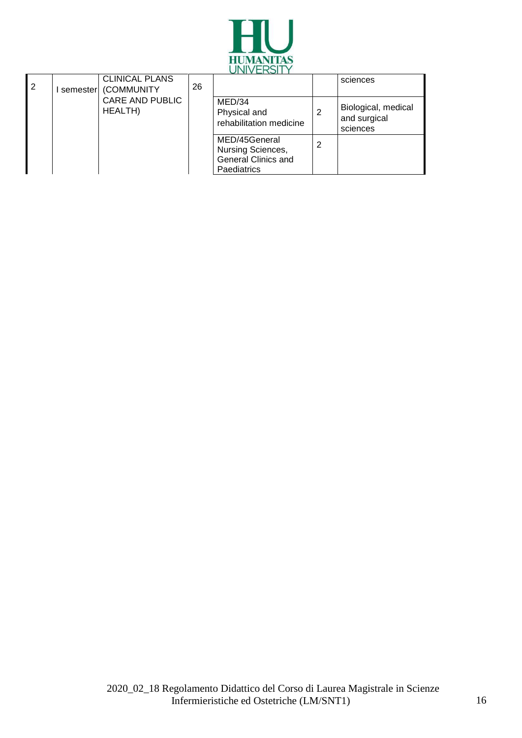

| $\overline{2}$ | <b>CLINICAL PLANS</b><br>semester (COMMUNITY | 26 |                                                                                 |   | sciences                                        |
|----------------|----------------------------------------------|----|---------------------------------------------------------------------------------|---|-------------------------------------------------|
|                | <b>CARE AND PUBLIC</b><br><b>HEALTH)</b>     |    | MED/34<br>Physical and<br>rehabilitation medicine                               |   | Biological, medical<br>and surgical<br>sciences |
|                |                                              |    | MED/45General<br>Nursing Sciences,<br><b>General Clinics and</b><br>Paediatrics | 2 |                                                 |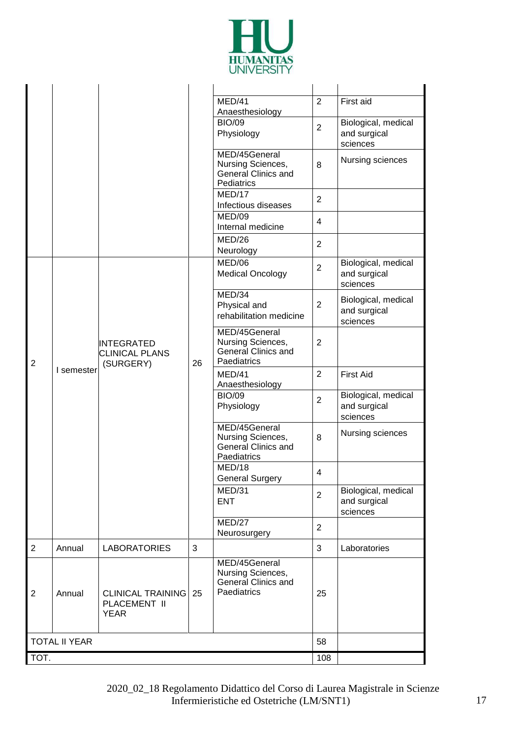

|                |                      |                                                         |    | MED/41<br>Anaesthesiology                                                       | $\overline{2}$ | First aid                                       |
|----------------|----------------------|---------------------------------------------------------|----|---------------------------------------------------------------------------------|----------------|-------------------------------------------------|
|                |                      |                                                         |    | <b>BIO/09</b><br>Physiology                                                     | $\overline{2}$ | Biological, medical<br>and surgical<br>sciences |
|                |                      |                                                         |    | MED/45General<br>Nursing Sciences,<br><b>General Clinics and</b><br>Pediatrics  | 8              | Nursing sciences                                |
|                |                      |                                                         |    | MED/17<br>Infectious diseases                                                   | $\overline{2}$ |                                                 |
|                |                      |                                                         |    | MED/09<br>Internal medicine                                                     | 4              |                                                 |
|                |                      |                                                         |    | MED/26<br>Neurology                                                             | $\overline{2}$ |                                                 |
|                |                      |                                                         |    | MED/06<br><b>Medical Oncology</b>                                               | $\overline{2}$ | Biological, medical<br>and surgical<br>sciences |
|                | I semester           | <b>INTEGRATED</b><br><b>CLINICAL PLANS</b><br>(SURGERY) | 26 | MED/34<br>Physical and<br>rehabilitation medicine                               | $\overline{2}$ | Biological, medical<br>and surgical<br>sciences |
| $\overline{2}$ |                      |                                                         |    | MED/45General<br>Nursing Sciences,<br><b>General Clinics and</b><br>Paediatrics | $\overline{2}$ |                                                 |
|                |                      |                                                         |    | MED/41<br>Anaesthesiology                                                       | $\overline{2}$ | <b>First Aid</b>                                |
|                |                      |                                                         |    | <b>BIO/09</b><br>Physiology                                                     | $\overline{2}$ | Biological, medical<br>and surgical<br>sciences |
|                |                      |                                                         |    | MED/45General<br>Nursing Sciences,<br><b>General Clinics and</b><br>Paediatrics | 8              | Nursing sciences                                |
|                |                      |                                                         |    | MED/18<br><b>General Surgery</b>                                                | 4              |                                                 |
|                |                      |                                                         |    | MED/31<br><b>ENT</b>                                                            | $\overline{2}$ | Biological, medical<br>and surgical<br>sciences |
|                |                      |                                                         |    | MED/27<br>Neurosurgery                                                          | $\overline{2}$ |                                                 |
| $\overline{2}$ | Annual               | <b>LABORATORIES</b>                                     | 3  |                                                                                 | 3              | Laboratories                                    |
| $\overline{2}$ | Annual               | <b>CLINICAL TRAINING</b><br>PLACEMENT II<br><b>YEAR</b> | 25 | MED/45General<br>Nursing Sciences,<br><b>General Clinics and</b><br>Paediatrics | 25             |                                                 |
|                | <b>TOTAL II YEAR</b> |                                                         |    |                                                                                 | 58             |                                                 |
| TOT.           |                      |                                                         |    |                                                                                 |                |                                                 |